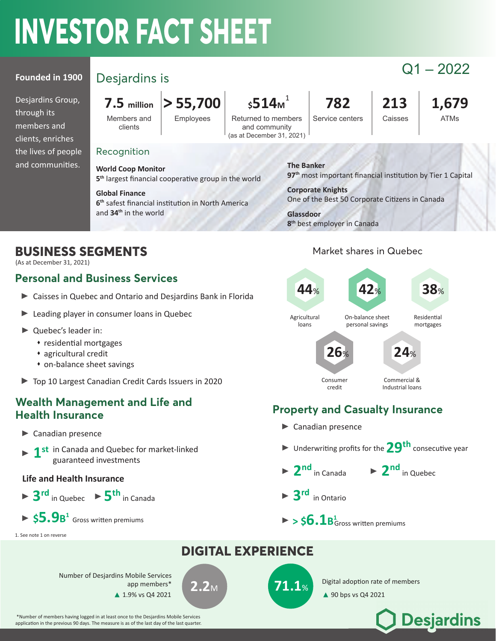# **INVESTOR FACT SHEET**

#### **Founded in 1900**

Desjardins Group, through its members and clients, enriches the lives of people and communities.

# Q1 – 2022 Desjardins is

Members and clients

 $Employees$  Returned to members

#### $7.5$  million  $\big|$  > 55,700  $\big|$   $\big|$  \$514 $\text{m}^1$   $\big|$   $\big|$  782  $\big|$  213  $\big|$  1,679 1

and community (as at December 31, 2021) Service centers | Caisses | ATMs

#### Recognition

**World Coop Monitor** 5<sup>th</sup> largest financial cooperative group in the world

**Global Finance** 6<sup>th</sup> safest financial institution in North America and **34th** in the world

**8th** best employer in Canada

**The Banker**

**Corporate Knights**

# **BUSINESS SEGMENTS**

(As at December 31, 2021)

#### **Personal and Business Services**

- Caisses in Quebec and Ontario and Desjardins Bank in Florida
- **Leading player in consumer loans in Quebec**
- ▶ Quebec's leader in:
	- residential mortgages
	- agricultural credit
	- on-balance sheet savings
- ▶ Top 10 Largest Canadian Credit Cards Issuers in 2020

#### **Wealth Management and Life and Health Insurance**

- ▶ Canadian presence
- **1st** in Canada and Quebec for market-linked guaranteed investments

#### **Life and Health Insurance**

 $\triangleright$  3<sup>rd</sup> in Quebec  $\triangleright$  5<sup>th</sup> in Canada  $$5.9s^1$  Gross written premiums

#### 1. See note 1 on reverse



# **Property and Casualty Insurance**

- Canadian presence
- ▶ Underwriting profits for the **29<sup>th</sup>** consecutive year
- $\blacktriangleright$  2<sup>nd</sup> in Canada

 $\blacktriangleright$  2<sup>nd</sup> in Quebec

**Desjardins** 

- **3rd** in Ontario
- $>$  \$ $6.1$ B $_{\rm Gross}^{\rm 1}$  written premiums

# **DIGITAL EXPERIENCE**  $2.2_M$  **71.1**% Digital adoption rate of members Number of Desjardins Mobile Services app members\*  $\triangle$  1.9% vs Q4 2021

 \*Number of members having logged in at least once to the Desjardins Mobile Services application in the previous 90 days. The measure is as of the last day of the last quarter. One of the Best 50 Corporate Citizens in Canada

97<sup>th</sup> most important financial institution by Tier 1 Capital

**Glassdoor**

### Market shares in Quebec